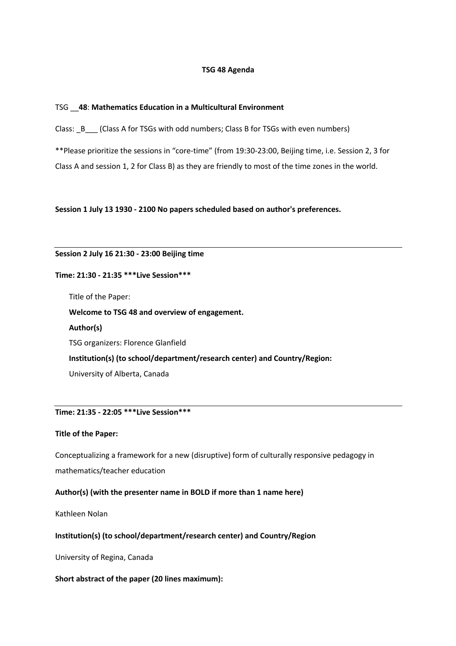### **TSG 48 Agenda**

### TSG \_\_**48**: **Mathematics Education in a Multicultural Environment**

Class: \_B\_\_\_ (Class A for TSGs with odd numbers; Class B for TSGs with even numbers)

\*\*Please prioritize the sessions in "core-time" (from 19:30-23:00, Beijing time, i.e. Session 2, 3 for Class A and session 1, 2 for Class B) as they are friendly to most of the time zones in the world.

**Session 1 July 13 1930 - 2100 No papers scheduled based on author's preferences.**

#### **Session 2 July 16 21:30 - 23:00 Beijing time**

#### **Time: 21:30 - 21:35 \*\*\*Live Session\*\*\***

Title of the Paper:

**Welcome to TSG 48 and overview of engagement.**

**Author(s)**  TSG organizers: Florence Glanfield **Institution(s) (to school/department/research center) and Country/Region:** University of Alberta, Canada

### **Time: 21:35 - 22:05 \*\*\*Live Session\*\*\***

#### **Title of the Paper:**

Conceptualizing a framework for a new (disruptive) form of culturally responsive pedagogy in mathematics/teacher education

### **Author(s) (with the presenter name in BOLD if more than 1 name here)**

Kathleen Nolan

#### **Institution(s) (to school/department/research center) and Country/Region**

University of Regina, Canada

#### **Short abstract of the paper (20 lines maximum):**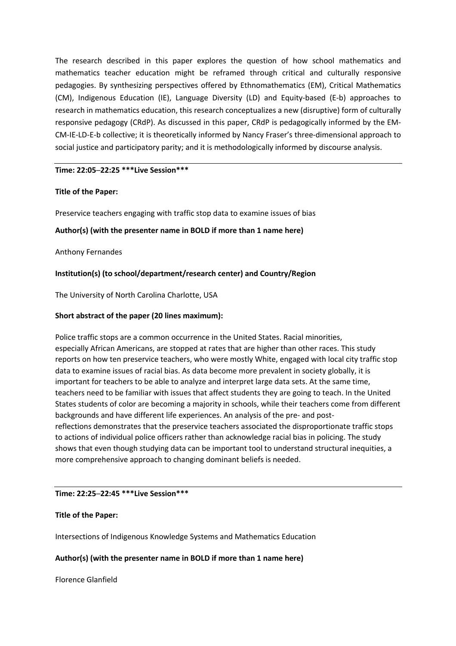The research described in this paper explores the question of how school mathematics and mathematics teacher education might be reframed through critical and culturally responsive pedagogies. By synthesizing perspectives offered by Ethnomathematics (EM), Critical Mathematics (CM), Indigenous Education (IE), Language Diversity (LD) and Equity-based (E-b) approaches to research in mathematics education, this research conceptualizes a new (disruptive) form of culturally responsive pedagogy (CRdP). As discussed in this paper, CRdP is pedagogically informed by the EM-CM-IE-LD-E-b collective; it is theoretically informed by Nancy Fraser's three-dimensional approach to social justice and participatory parity; and it is methodologically informed by discourse analysis.

# **Time: 22:05─22:25 \*\*\*Live Session\*\*\***

# **Title of the Paper:**

Preservice teachers engaging with traffic stop data to examine issues of bias

# **Author(s) (with the presenter name in BOLD if more than 1 name here)**

Anthony Fernandes

# **Institution(s) (to school/department/research center) and Country/Region**

The University of North Carolina Charlotte, USA

# **Short abstract of the paper (20 lines maximum):**

Police traffic stops are a common occurrence in the United States. Racial minorities, especially African Americans, are stopped at rates that are higher than other races. This study reports on how ten preservice teachers, who were mostly White, engaged with local city traffic stop data to examine issues of racial bias. As data become more prevalent in society globally, it is important for teachers to be able to analyze and interpret large data sets. At the same time, teachers need to be familiar with issues that affect students they are going to teach. In the United States students of color are becoming a majority in schools, while their teachers come from different backgrounds and have different life experiences. An analysis of the pre- and postreflections demonstrates that the preservice teachers associated the disproportionate traffic stops to actions of individual police officers rather than acknowledge racial bias in policing. The study shows that even though studying data can be important tool to understand structural inequities, a more comprehensive approach to changing dominant beliefs is needed.

# **Time: 22:25─22:45 \*\*\*Live Session\*\*\***

# **Title of the Paper:**

Intersections of Indigenous Knowledge Systems and Mathematics Education

# **Author(s) (with the presenter name in BOLD if more than 1 name here)**

Florence Glanfield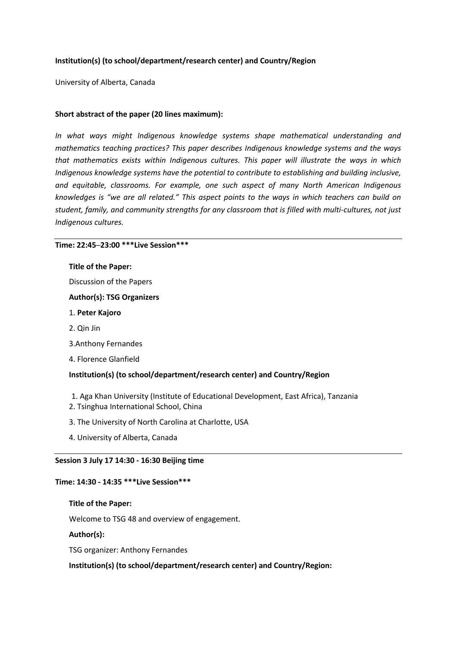# **Institution(s) (to school/department/research center) and Country/Region**

University of Alberta, Canada

## **Short abstract of the paper (20 lines maximum):**

*In what ways might Indigenous knowledge systems shape mathematical understanding and mathematics teaching practices? This paper describes Indigenous knowledge systems and the ways that mathematics exists within Indigenous cultures. This paper will illustrate the ways in which Indigenous knowledge systems have the potential to contribute to establishing and building inclusive, and equitable, classrooms. For example, one such aspect of many North American Indigenous knowledges is "we are all related." This aspect points to the ways in which teachers can build on student, family, and community strengths for any classroom that is filled with multi-cultures, not just Indigenous cultures.* 

#### **Time: 22:45─23:00 \*\*\*Live Session\*\*\***

#### **Title of the Paper:**

Discussion of the Papers

#### **Author(s): TSG Organizers**

- 1. **Peter Kajoro**
- 2. Qin Jin
- 3.Anthony Fernandes
- 4. Florence Glanfield

### **Institution(s) (to school/department/research center) and Country/Region**

- 1. Aga Khan University (Institute of Educational Development, East Africa), Tanzania
- 2. Tsinghua International School, China
- 3. The University of North Carolina at Charlotte, USA
- 4. University of Alberta, Canada

#### **Session 3 July 17 14:30 - 16:30 Beijing time**

#### **Time: 14:30 - 14:35 \*\*\*Live Session\*\*\***

#### **Title of the Paper:**

Welcome to TSG 48 and overview of engagement.

#### **Author(s):**

TSG organizer: Anthony Fernandes

**Institution(s) (to school/department/research center) and Country/Region:**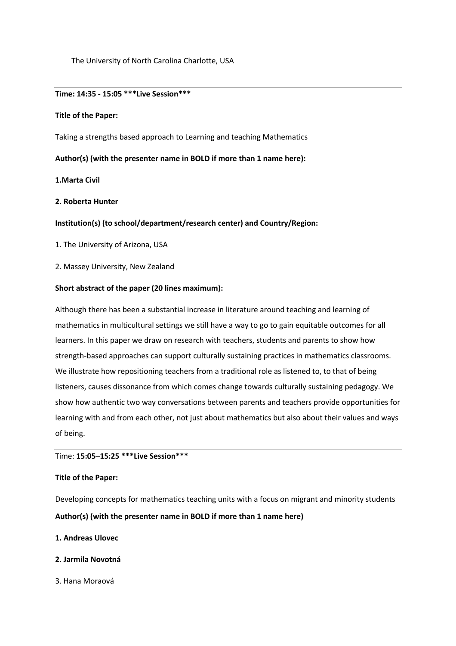The University of North Carolina Charlotte, USA

#### **Time: 14:35 - 15:05 \*\*\*Live Session\*\*\***

### **Title of the Paper:**

Taking a strengths based approach to Learning and teaching Mathematics

## **Author(s) (with the presenter name in BOLD if more than 1 name here):**

# **1.Marta Civil**

### **2. Roberta Hunter**

### **Institution(s) (to school/department/research center) and Country/Region:**

- 1. The University of Arizona, USA
- 2. Massey University, New Zealand

### **Short abstract of the paper (20 lines maximum):**

Although there has been a substantial increase in literature around teaching and learning of mathematics in multicultural settings we still have a way to go to gain equitable outcomes for all learners. In this paper we draw on research with teachers, students and parents to show how strength-based approaches can support culturally sustaining practices in mathematics classrooms. We illustrate how repositioning teachers from a traditional role as listened to, to that of being listeners, causes dissonance from which comes change towards culturally sustaining pedagogy. We show how authentic two way conversations between parents and teachers provide opportunities for learning with and from each other, not just about mathematics but also about their values and ways of being.

## Time: **15:05─15:25 \*\*\*Live Session\*\*\***

#### **Title of the Paper:**

Developing concepts for mathematics teaching units with a focus on migrant and minority students

# **Author(s) (with the presenter name in BOLD if more than 1 name here)**

### **1. Andreas Ulovec**

- **2. Jarmila Novotná**
- 3. Hana Moraová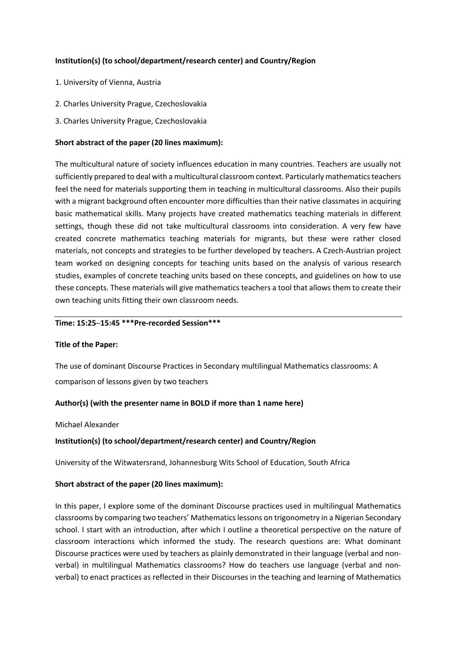# **Institution(s) (to school/department/research center) and Country/Region**

- 1. University of Vienna, Austria
- 2. Charles University Prague, Czechoslovakia
- 3. Charles University Prague, Czechoslovakia

# **Short abstract of the paper (20 lines maximum):**

The multicultural nature of society influences education in many countries. Teachers are usually not sufficiently prepared to deal with a multicultural classroom context. Particularly mathematics teachers feel the need for materials supporting them in teaching in multicultural classrooms. Also their pupils with a migrant background often encounter more difficulties than their native classmates in acquiring basic mathematical skills. Many projects have created mathematics teaching materials in different settings, though these did not take multicultural classrooms into consideration. A very few have created concrete mathematics teaching materials for migrants, but these were rather closed materials, not concepts and strategies to be further developed by teachers. A Czech-Austrian project team worked on designing concepts for teaching units based on the analysis of various research studies, examples of concrete teaching units based on these concepts, and guidelines on how to use these concepts. These materials will give mathematics teachers a tool that allows them to create their own teaching units fitting their own classroom needs.

### **Time: 15:25─15:45 \*\*\*Pre-recorded Session\*\*\***

# **Title of the Paper:**

The use of dominant Discourse Practices in Secondary multilingual Mathematics classrooms: A comparison of lessons given by two teachers

# **Author(s) (with the presenter name in BOLD if more than 1 name here)**

Michael Alexander

# **Institution(s) (to school/department/research center) and Country/Region**

University of the Witwatersrand, Johannesburg Wits School of Education, South Africa

# **Short abstract of the paper (20 lines maximum):**

In this paper, I explore some of the dominant Discourse practices used in multilingual Mathematics classrooms by comparing two teachers' Mathematics lessons on trigonometry in a Nigerian Secondary school. I start with an introduction, after which I outline a theoretical perspective on the nature of classroom interactions which informed the study. The research questions are: What dominant Discourse practices were used by teachers as plainly demonstrated in their language (verbal and nonverbal) in multilingual Mathematics classrooms? How do teachers use language (verbal and nonverbal) to enact practices as reflected in their Discourses in the teaching and learning of Mathematics